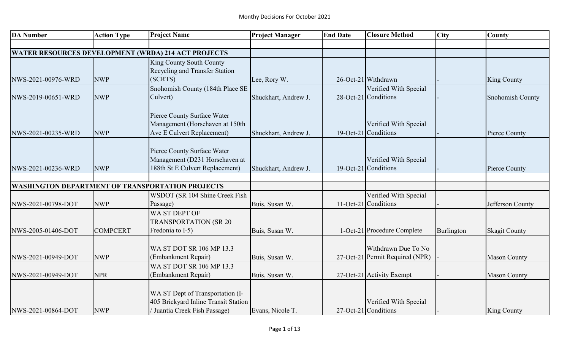| <b>DA Number</b>   | <b>Action Type</b> | <b>Project Name</b>                                        | <b>Project Manager</b> | <b>End Date</b> | <b>Closure Method</b>           | <b>City</b> | <b>County</b>        |
|--------------------|--------------------|------------------------------------------------------------|------------------------|-----------------|---------------------------------|-------------|----------------------|
|                    |                    |                                                            |                        |                 |                                 |             |                      |
|                    |                    | <b>WATER RESOURCES DEVELOPMENT (WRDA) 214 ACT PROJECTS</b> |                        |                 |                                 |             |                      |
|                    |                    | King County South County                                   |                        |                 |                                 |             |                      |
|                    |                    | Recycling and Transfer Station                             |                        |                 |                                 |             |                      |
| NWS-2021-00976-WRD | <b>NWP</b>         | (SCRTS)                                                    | Lee, Rory W.           |                 | 26-Oct-21 Withdrawn             |             | <b>King County</b>   |
|                    |                    | Snohomish County (184th Place SE                           |                        |                 | Verified With Special           |             |                      |
| NWS-2019-00651-WRD | <b>NWP</b>         | Culvert)                                                   | Shuckhart, Andrew J.   |                 | 28-Oct-21 Conditions            |             | Snohomish County     |
|                    |                    |                                                            |                        |                 |                                 |             |                      |
|                    |                    | Pierce County Surface Water                                |                        |                 |                                 |             |                      |
|                    |                    | Management (Horsehaven at 150th                            |                        |                 | Verified With Special           |             |                      |
| NWS-2021-00235-WRD | <b>NWP</b>         | Ave E Culvert Replacement)                                 | Shuckhart, Andrew J.   |                 | 19-Oct-21 Conditions            |             | Pierce County        |
|                    |                    |                                                            |                        |                 |                                 |             |                      |
|                    |                    | Pierce County Surface Water                                |                        |                 |                                 |             |                      |
|                    |                    | Management (D231 Horsehaven at                             |                        |                 | Verified With Special           |             |                      |
| NWS-2021-00236-WRD | <b>NWP</b>         | 188th St E Culvert Replacement)                            | Shuckhart, Andrew J.   |                 | 19-Oct-21 Conditions            |             | Pierce County        |
|                    |                    |                                                            |                        |                 |                                 |             |                      |
|                    |                    | <b>WASHINGTON DEPARTMENT OF TRANSPORTATION PROJECTS</b>    |                        |                 |                                 |             |                      |
|                    |                    | WSDOT (SR 104 Shine Creek Fish                             |                        |                 | Verified With Special           |             |                      |
| NWS-2021-00798-DOT | <b>NWP</b>         | Passage)                                                   | Buis, Susan W.         |                 | 11-Oct-21 Conditions            |             | Jefferson County     |
|                    |                    | WA ST DEPT OF                                              |                        |                 |                                 |             |                      |
|                    |                    | <b>TRANSPORTATION (SR 20</b>                               |                        |                 |                                 |             |                      |
| NWS-2005-01406-DOT | <b>COMPCERT</b>    | Fredonia to I-5)                                           | Buis, Susan W.         |                 | 1-Oct-21 Procedure Complete     | Burlington  | <b>Skagit County</b> |
|                    |                    |                                                            |                        |                 |                                 |             |                      |
|                    |                    | WA ST DOT SR 106 MP 13.3                                   |                        |                 | Withdrawn Due To No             |             |                      |
| NWS-2021-00949-DOT | <b>NWP</b>         | (Embankment Repair)                                        | Buis, Susan W.         |                 | 27-Oct-21 Permit Required (NPR) |             | <b>Mason County</b>  |
|                    |                    | WA ST DOT SR 106 MP 13.3                                   |                        |                 |                                 |             |                      |
| NWS-2021-00949-DOT | <b>NPR</b>         | (Embankment Repair)                                        | Buis, Susan W.         |                 | 27-Oct-21 Activity Exempt       |             | <b>Mason County</b>  |
|                    |                    |                                                            |                        |                 |                                 |             |                      |
|                    |                    | WA ST Dept of Transportation (I-                           |                        |                 |                                 |             |                      |
|                    |                    | 405 Brickyard Inline Transit Station                       |                        |                 | Verified With Special           |             |                      |
| NWS-2021-00864-DOT | <b>NWP</b>         | / Juantia Creek Fish Passage)                              | Evans, Nicole T.       |                 | 27-Oct-21 Conditions            |             | <b>King County</b>   |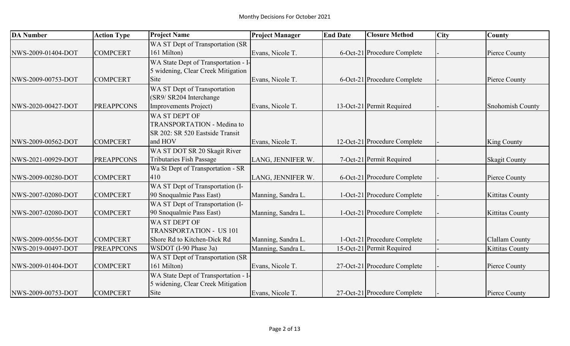| <b>DA Number</b>   | <b>Action Type</b> | <b>Project Name</b>                  | <b>Project Manager</b> | <b>End Date</b> | <b>Closure Method</b>        | <b>City</b> | <b>County</b>           |
|--------------------|--------------------|--------------------------------------|------------------------|-----------------|------------------------------|-------------|-------------------------|
|                    |                    | WA ST Dept of Transportation (SR     |                        |                 |                              |             |                         |
| NWS-2009-01404-DOT | <b>COMPCERT</b>    | 161 Milton)                          | Evans, Nicole T.       |                 | 6-Oct-21 Procedure Complete  |             | Pierce County           |
|                    |                    | WA State Dept of Transportation - I- |                        |                 |                              |             |                         |
|                    |                    | 5 widening, Clear Creek Mitigation   |                        |                 |                              |             |                         |
| NWS-2009-00753-DOT | <b>COMPCERT</b>    | Site                                 | Evans, Nicole T.       |                 | 6-Oct-21 Procedure Complete  |             | Pierce County           |
|                    |                    | WA ST Dept of Transportation         |                        |                 |                              |             |                         |
|                    |                    | (SR9/ SR204 Interchange              |                        |                 |                              |             |                         |
| NWS-2020-00427-DOT | <b>PREAPPCONS</b>  | Improvements Project)                | Evans, Nicole T.       |                 | 13-Oct-21 Permit Required    |             | <b>Snohomish County</b> |
|                    |                    | WA ST DEPT OF                        |                        |                 |                              |             |                         |
|                    |                    | <b>TRANSPORTATION - Medina to</b>    |                        |                 |                              |             |                         |
|                    |                    | SR 202: SR 520 Eastside Transit      |                        |                 |                              |             |                         |
| NWS-2009-00562-DOT | <b>COMPCERT</b>    | and HOV                              | Evans, Nicole T.       |                 | 12-Oct-21 Procedure Complete |             | <b>King County</b>      |
|                    |                    | WA ST DOT SR 20 Skagit River         |                        |                 |                              |             |                         |
| NWS-2021-00929-DOT | <b>PREAPPCONS</b>  | Tributaries Fish Passage             | LANG, JENNIFER W.      |                 | 7-Oct-21 Permit Required     |             | <b>Skagit County</b>    |
|                    |                    | Wa St Dept of Transportation - SR    |                        |                 |                              |             |                         |
| NWS-2009-00280-DOT | <b>COMPCERT</b>    | 410                                  | LANG, JENNIFER W.      |                 | 6-Oct-21 Procedure Complete  |             | Pierce County           |
|                    |                    | WA ST Dept of Transportation (I-     |                        |                 |                              |             |                         |
| NWS-2007-02080-DOT | <b>COMPCERT</b>    | 90 Snoqualmie Pass East)             | Manning, Sandra L.     |                 | 1-Oct-21 Procedure Complete  |             | <b>Kittitas County</b>  |
|                    |                    | WA ST Dept of Transportation (I-     |                        |                 |                              |             |                         |
| NWS-2007-02080-DOT | <b>COMPCERT</b>    | 90 Snoqualmie Pass East)             | Manning, Sandra L.     |                 | 1-Oct-21 Procedure Complete  |             | <b>Kittitas County</b>  |
|                    |                    | WA ST DEPT OF                        |                        |                 |                              |             |                         |
|                    |                    | <b>TRANSPORTATION - US 101</b>       |                        |                 |                              |             |                         |
| NWS-2009-00556-DOT | <b>COMPCERT</b>    | Shore Rd to Kitchen-Dick Rd          | Manning, Sandra L.     |                 | 1-Oct-21 Procedure Complete  |             | Clallam County          |
| NWS-2019-00497-DOT | <b>PREAPPCONS</b>  | WSDOT (I-90 Phase 3a)                | Manning, Sandra L.     |                 | 15-Oct-21 Permit Required    |             | <b>Kittitas County</b>  |
|                    |                    | WA ST Dept of Transportation (SR     |                        |                 |                              |             |                         |
| NWS-2009-01404-DOT | <b>COMPCERT</b>    | 161 Milton)                          | Evans, Nicole T.       |                 | 27-Oct-21 Procedure Complete |             | Pierce County           |
|                    |                    | WA State Dept of Transportation - I- |                        |                 |                              |             |                         |
|                    |                    | 5 widening, Clear Creek Mitigation   |                        |                 |                              |             |                         |
| NWS-2009-00753-DOT | <b>COMPCERT</b>    | Site                                 | Evans, Nicole T.       |                 | 27-Oct-21 Procedure Complete |             | Pierce County           |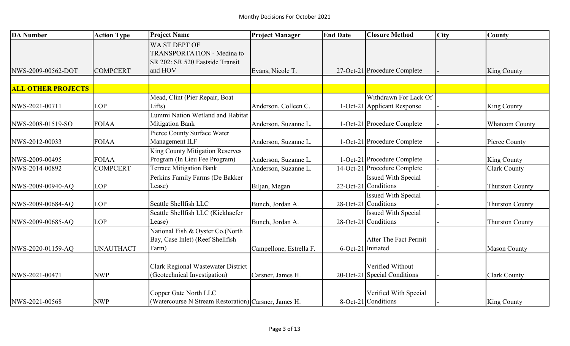| <b>DA Number</b>          | <b>Action Type</b> | <b>Project Name</b>                                                                   | <b>Project Manager</b>  | <b>End Date</b>    | <b>Closure Method</b>                              | <b>City</b> | <b>County</b>          |
|---------------------------|--------------------|---------------------------------------------------------------------------------------|-------------------------|--------------------|----------------------------------------------------|-------------|------------------------|
|                           |                    | WA ST DEPT OF<br><b>TRANSPORTATION - Medina to</b><br>SR 202: SR 520 Eastside Transit |                         |                    |                                                    |             |                        |
| NWS-2009-00562-DOT        | <b>COMPCERT</b>    | and HOV                                                                               | Evans, Nicole T.        |                    | 27-Oct-21 Procedure Complete                       |             | <b>King County</b>     |
| <b>ALL OTHER PROJECTS</b> |                    |                                                                                       |                         |                    |                                                    |             |                        |
|                           |                    | Mead, Clint (Pier Repair, Boat                                                        |                         |                    | Withdrawn For Lack Of                              |             |                        |
| NWS-2021-00711            | LOP                | Lifts)                                                                                | Anderson, Colleen C.    |                    | 1-Oct-21 Applicant Response                        |             | King County            |
| NWS-2008-01519-SO         | <b>FOIAA</b>       | Lummi Nation Wetland and Habitat<br><b>Mitigation Bank</b>                            | Anderson, Suzanne L.    |                    | 1-Oct-21 Procedure Complete                        |             | <b>Whatcom County</b>  |
|                           |                    | Pierce County Surface Water                                                           |                         |                    |                                                    |             |                        |
| NWS-2012-00033            | <b>FOIAA</b>       | Management ILF                                                                        | Anderson, Suzanne L.    |                    | 1-Oct-21 Procedure Complete                        |             | Pierce County          |
|                           |                    | <b>King County Mitigation Reserves</b>                                                |                         |                    |                                                    |             |                        |
| NWS-2009-00495            | <b>FOIAA</b>       | Program (In Lieu Fee Program)                                                         | Anderson, Suzanne L.    |                    | 1-Oct-21 Procedure Complete                        |             | King County            |
| NWS-2014-00892            | <b>COMPCERT</b>    | <b>Terrace Mitigation Bank</b>                                                        | Anderson, Suzanne L.    |                    | 14-Oct-21 Procedure Complete                       |             | <b>Clark County</b>    |
|                           |                    | Perkins Family Farms (De Bakker                                                       |                         |                    | <b>Issued With Special</b>                         |             |                        |
| NWS-2009-00940-AQ         | <b>LOP</b>         | Lease)                                                                                | Biljan, Megan           |                    | 22-Oct-21 Conditions                               |             | <b>Thurston County</b> |
| NWS-2009-00684-AQ         | <b>LOP</b>         | Seattle Shellfish LLC                                                                 | Bunch, Jordan A.        |                    | <b>Issued With Special</b><br>28-Oct-21 Conditions |             | <b>Thurston County</b> |
|                           |                    | Seattle Shellfish LLC (Kiekhaefer                                                     |                         |                    | <b>Issued With Special</b>                         |             |                        |
| NWS-2009-00685-AQ         | <b>LOP</b>         | Lease)                                                                                | Bunch, Jordan A.        |                    | 28-Oct-21 Conditions                               |             | <b>Thurston County</b> |
| NWS-2020-01159-AQ         | <b>UNAUTHACT</b>   | National Fish & Oyster Co.(North<br>Bay, Case Inlet) (Reef Shellfish<br>Farm)         | Campellone, Estrella F. | 6-Oct-21 Initiated | After The Fact Permit                              |             | <b>Mason County</b>    |
|                           |                    |                                                                                       |                         |                    |                                                    |             |                        |
| NWS-2021-00471            | <b>NWP</b>         | Clark Regional Wastewater District<br>(Geotechnical Investigation)                    | Carsner, James H.       |                    | Verified Without<br>20-Oct-21 Special Conditions   |             | <b>Clark County</b>    |
| NWS-2021-00568            | <b>NWP</b>         | Copper Gate North LLC<br>(Watercourse N Stream Restoration) Carsner, James H.         |                         |                    | Verified With Special<br>8-Oct-21 Conditions       |             | <b>King County</b>     |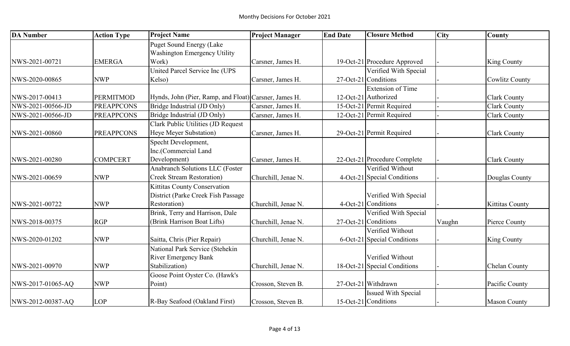| <b>DA Number</b>  | <b>Action Type</b> | <b>Project Name</b>                                   | <b>Project Manager</b> | <b>End Date</b> | <b>Closure Method</b>        | <b>City</b> | <b>County</b>          |
|-------------------|--------------------|-------------------------------------------------------|------------------------|-----------------|------------------------------|-------------|------------------------|
|                   |                    | <b>Puget Sound Energy (Lake</b>                       |                        |                 |                              |             |                        |
|                   |                    | Washington Emergency Utility                          |                        |                 |                              |             |                        |
| NWS-2021-00721    | <b>EMERGA</b>      | Work)                                                 | Carsner, James H.      |                 | 19-Oct-21 Procedure Approved |             | <b>King County</b>     |
|                   |                    | United Parcel Service Inc (UPS                        |                        |                 | Verified With Special        |             |                        |
| NWS-2020-00865    | <b>NWP</b>         | Kelso)                                                | Carsner, James H.      |                 | 27-Oct-21 Conditions         |             | <b>Cowlitz County</b>  |
|                   |                    |                                                       |                        |                 | <b>Extension of Time</b>     |             |                        |
| NWS-2017-00413    | <b>PERMITMOD</b>   | Hynds, John (Pier, Ramp, and Float) Carsner, James H. |                        |                 | 12-Oct-21 Authorized         |             | <b>Clark County</b>    |
| NWS-2021-00566-JD | <b>PREAPPCONS</b>  | Bridge Industrial (JD Only)                           | Carsner, James H.      |                 | 15-Oct-21 Permit Required    |             | <b>Clark County</b>    |
| NWS-2021-00566-JD | <b>PREAPPCONS</b>  | Bridge Industrial (JD Only)                           | Carsner, James H.      |                 | 12-Oct-21 Permit Required    |             | <b>Clark County</b>    |
|                   |                    | Clark Public Utilities (JD Request                    |                        |                 |                              |             |                        |
| NWS-2021-00860    | <b>PREAPPCONS</b>  | Heye Meyer Substation)                                | Carsner, James H.      |                 | 29-Oct-21 Permit Required    |             | <b>Clark County</b>    |
|                   |                    | Specht Development,                                   |                        |                 |                              |             |                        |
|                   |                    | Inc.(Commercial Land                                  |                        |                 |                              |             |                        |
| NWS-2021-00280    | <b>COMPCERT</b>    | Development)                                          | Carsner, James H.      |                 | 22-Oct-21 Procedure Complete |             | <b>Clark County</b>    |
|                   |                    | <b>Anabranch Solutions LLC (Foster</b>                |                        |                 | Verified Without             |             |                        |
| NWS-2021-00659    | <b>NWP</b>         | <b>Creek Stream Restoration)</b>                      | Churchill, Jenae N.    |                 | 4-Oct-21 Special Conditions  |             | Douglas County         |
|                   |                    | Kittitas County Conservation                          |                        |                 |                              |             |                        |
|                   |                    | District (Parke Creek Fish Passage                    |                        |                 | Verified With Special        |             |                        |
| NWS-2021-00722    | <b>NWP</b>         | Restoration)                                          | Churchill, Jenae N.    |                 | 4-Oct-21 Conditions          |             | <b>Kittitas County</b> |
|                   |                    | Brink, Terry and Harrison, Dale                       |                        |                 | Verified With Special        |             |                        |
| NWS-2018-00375    | <b>RGP</b>         | (Brink Harrison Boat Lifts)                           | Churchill, Jenae N.    |                 | 27-Oct-21 Conditions         | Vaughn      | Pierce County          |
|                   |                    |                                                       |                        |                 | Verified Without             |             |                        |
| NWS-2020-01202    | <b>NWP</b>         | Saitta, Chris (Pier Repair)                           | Churchill, Jenae N.    |                 | 6-Oct-21 Special Conditions  |             | <b>King County</b>     |
|                   |                    | National Park Service (Stehekin                       |                        |                 |                              |             |                        |
|                   |                    | <b>River Emergency Bank</b>                           |                        |                 | Verified Without             |             |                        |
| NWS-2021-00970    | <b>NWP</b>         | Stabilization)                                        | Churchill, Jenae N.    |                 | 18-Oct-21 Special Conditions |             | <b>Chelan County</b>   |
|                   |                    | Goose Point Oyster Co. (Hawk's                        |                        |                 |                              |             |                        |
| NWS-2017-01065-AQ | <b>NWP</b>         | Point)                                                | Crosson, Steven B.     |                 | 27-Oct-21 Withdrawn          |             | Pacific County         |
|                   |                    |                                                       |                        |                 | <b>Issued With Special</b>   |             |                        |
| NWS-2012-00387-AQ | <b>LOP</b>         | R-Bay Seafood (Oakland First)                         | Crosson, Steven B.     |                 | 15-Oct-21 Conditions         |             | <b>Mason County</b>    |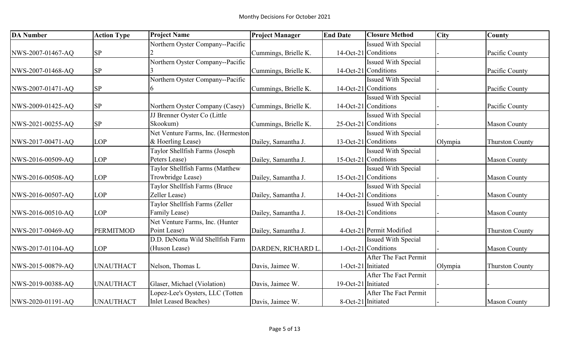| <b>DA</b> Number  | <b>Action Type</b> | <b>Project Name</b>                | <b>Project Manager</b> | <b>End Date</b>     | <b>Closure Method</b>      | <b>City</b> | <b>County</b>          |
|-------------------|--------------------|------------------------------------|------------------------|---------------------|----------------------------|-------------|------------------------|
|                   |                    | Northern Oyster Company--Pacific   |                        |                     | <b>Issued With Special</b> |             |                        |
| NWS-2007-01467-AQ | <b>SP</b>          |                                    | Cummings, Brielle K.   |                     | $14-Oct-21$ Conditions     |             | Pacific County         |
|                   |                    | Northern Oyster Company--Pacific   |                        |                     | <b>Issued With Special</b> |             |                        |
| NWS-2007-01468-AQ | <b>SP</b>          |                                    | Cummings, Brielle K.   |                     | 14-Oct-21 Conditions       |             | Pacific County         |
|                   |                    | Northern Oyster Company--Pacific   |                        |                     | <b>Issued With Special</b> |             |                        |
| NWS-2007-01471-AQ | <b>SP</b>          |                                    | Cummings, Brielle K.   |                     | 14-Oct-21 Conditions       |             | Pacific County         |
|                   |                    |                                    |                        |                     | <b>Issued With Special</b> |             |                        |
| NWS-2009-01425-AQ | SP                 | Northern Oyster Company (Casey)    | Cummings, Brielle K.   |                     | 14-Oct-21 Conditions       |             | Pacific County         |
|                   |                    | JJ Brenner Oyster Co (Little       |                        |                     | <b>Issued With Special</b> |             |                        |
| NWS-2021-00255-AQ | <b>SP</b>          | Skookum)                           | Cummings, Brielle K.   |                     | 25-Oct-21 Conditions       |             | <b>Mason County</b>    |
|                   |                    | Net Venture Farms, Inc. (Hermeston |                        |                     | <b>Issued With Special</b> |             |                        |
| NWS-2017-00471-AQ | <b>LOP</b>         | & Hoerling Lease)                  | Dailey, Samantha J.    |                     | 13-Oct-21 Conditions       | Olympia     | <b>Thurston County</b> |
|                   |                    | Taylor Shellfish Farms (Joseph     |                        |                     | <b>Issued With Special</b> |             |                        |
| NWS-2016-00509-AQ | <b>LOP</b>         | Peters Lease)                      | Dailey, Samantha J.    |                     | 15-Oct-21 Conditions       |             | <b>Mason County</b>    |
|                   |                    | Taylor Shellfish Farms (Matthew    |                        |                     | <b>Issued With Special</b> |             |                        |
| NWS-2016-00508-AQ | <b>LOP</b>         | Trowbridge Lease)                  | Dailey, Samantha J.    |                     | 15-Oct-21 Conditions       |             | <b>Mason County</b>    |
|                   |                    | Taylor Shellfish Farms (Bruce      |                        |                     | Issued With Special        |             |                        |
| NWS-2016-00507-AQ | <b>LOP</b>         | Zeller Lease)                      | Dailey, Samantha J.    |                     | 14-Oct-21 Conditions       |             | <b>Mason County</b>    |
|                   |                    | Taylor Shellfish Farms (Zeller     |                        |                     | <b>Issued With Special</b> |             |                        |
| NWS-2016-00510-AQ | <b>LOP</b>         | Family Lease)                      | Dailey, Samantha J.    |                     | 18-Oct-21 Conditions       |             | <b>Mason County</b>    |
|                   |                    | Net Venture Farms, Inc. (Hunter    |                        |                     |                            |             |                        |
| NWS-2017-00469-AQ | <b>PERMITMOD</b>   | Point Lease)                       | Dailey, Samantha J.    |                     | 4-Oct-21 Permit Modified   |             | <b>Thurston County</b> |
|                   |                    | D.D. DeNotta Wild Shellfish Farm   |                        |                     | <b>Issued With Special</b> |             |                        |
| NWS-2017-01104-AQ | <b>LOP</b>         | (Huson Lease)                      | DARDEN, RICHARD L.     |                     | 1-Oct-21 Conditions        |             | <b>Mason County</b>    |
|                   |                    |                                    |                        |                     | After The Fact Permit      |             |                        |
| NWS-2015-00879-AQ | <b>UNAUTHACT</b>   | Nelson, Thomas L                   | Davis, Jaimee W.       | 1-Oct-21 Initiated  |                            | Olympia     | <b>Thurston County</b> |
|                   |                    |                                    |                        |                     | After The Fact Permit      |             |                        |
| NWS-2019-00388-AQ | <b>UNAUTHACT</b>   | Glaser, Michael (Violation)        | Davis, Jaimee W.       | 19-Oct-21 Initiated |                            |             |                        |
|                   |                    | Lopez-Lee's Oysters, LLC (Totten   |                        |                     | After The Fact Permit      |             |                        |
| NWS-2020-01191-AQ | <b>UNAUTHACT</b>   | <b>Inlet Leased Beaches)</b>       | Davis, Jaimee W.       | 8-Oct-21 Initiated  |                            |             | <b>Mason County</b>    |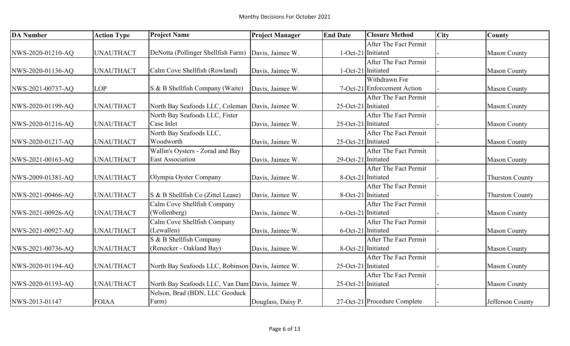| <b>DA Number</b>  | <b>Action Type</b> | <b>Project Name</b>                               | <b>Project Manager</b> | <b>End Date</b>     | <b>Closure Method</b>        | <b>City</b> | <b>County</b>          |
|-------------------|--------------------|---------------------------------------------------|------------------------|---------------------|------------------------------|-------------|------------------------|
|                   |                    |                                                   |                        |                     | After The Fact Permit        |             |                        |
| NWS-2020-01210-AQ | <b>UNAUTHACT</b>   | DeNotta (Pollinger Shellfish Farm)                | Davis, Jaimee W.       | 1-Oct-21 Initiated  |                              |             | <b>Mason County</b>    |
|                   |                    |                                                   |                        |                     | After The Fact Permit        |             |                        |
| NWS-2020-01136-AQ | <b>UNAUTHACT</b>   | Calm Cove Shellfish (Rowland)                     | Davis, Jaimee W.       | 1-Oct-21 Initiated  |                              |             | <b>Mason County</b>    |
|                   |                    |                                                   |                        |                     | Withdrawn For                |             |                        |
| NWS-2021-00737-AQ | <b>LOP</b>         | S & B Shellfish Company (Waite)                   | Davis, Jaimee W.       |                     | 7-Oct-21 Enforcement Action  |             | <b>Mason County</b>    |
|                   |                    |                                                   |                        |                     | After The Fact Permit        |             |                        |
| NWS-2020-01199-AQ | <b>UNAUTHACT</b>   | North Bay Seafoods LLC, Coleman Davis, Jaimee W.  |                        | 25-Oct-21 Initiated |                              |             | <b>Mason County</b>    |
|                   |                    | North Bay Seafoods LLC, Fister                    |                        |                     | After The Fact Permit        |             |                        |
| NWS-2020-01216-AQ | <b>UNAUTHACT</b>   | Case Inlet                                        | Davis, Jaimee W.       | 25-Oct-21 Initiated |                              |             | <b>Mason County</b>    |
|                   |                    | North Bay Seafoods LLC,                           |                        |                     | After The Fact Permit        |             |                        |
| NWS-2020-01217-AQ | <b>UNAUTHACT</b>   | Woodworth                                         | Davis, Jaimee W.       | 25-Oct-21 Initiated |                              |             | <b>Mason County</b>    |
|                   |                    | Wallin's Oysters - Zorad and Bay                  |                        |                     | After The Fact Permit        |             |                        |
| NWS-2021-00163-AQ | <b>UNAUTHACT</b>   | East Association                                  | Davis, Jaimee W.       | 29-Oct-21 Initiated |                              |             | <b>Mason County</b>    |
|                   |                    |                                                   |                        |                     | After The Fact Permit        |             |                        |
| NWS-2009-01381-AQ | <b>UNAUTHACT</b>   | Olympia Oyster Company                            | Davis, Jaimee W.       | 8-Oct-21 Initiated  |                              |             | <b>Thurston County</b> |
|                   |                    |                                                   |                        |                     | After The Fact Permit        |             |                        |
| NWS-2021-00466-AQ | <b>UNAUTHACT</b>   | S & B Shellfish Co (Zittel Lease)                 | Davis, Jaimee W.       | 8-Oct-21 Initiated  |                              |             | <b>Thurston County</b> |
|                   |                    | Calm Cove Shellfish Company                       |                        |                     | After The Fact Permit        |             |                        |
| NWS-2021-00926-AQ | <b>UNAUTHACT</b>   | (Wollenberg)                                      | Davis, Jaimee W.       | 6-Oct-21 Initiated  |                              |             | <b>Mason County</b>    |
|                   |                    | Calm Cove Shellfish Company                       |                        |                     | After The Fact Permit        |             |                        |
| NWS-2021-00927-AQ | <b>UNAUTHACT</b>   | (Lewallen)                                        | Davis, Jaimee W.       | 6-Oct-21 Initiated  |                              |             | <b>Mason County</b>    |
|                   |                    | S & B Shellfish Company                           |                        |                     | After The Fact Permit        |             |                        |
| NWS-2021-00736-AQ | <b>UNAUTHACT</b>   | (Renecker - Oakland Bay)                          | Davis, Jaimee W.       | 8-Oct-21 Initiated  |                              |             | <b>Mason County</b>    |
|                   |                    |                                                   |                        |                     | After The Fact Permit        |             |                        |
| NWS-2020-01194-AQ | <b>UNAUTHACT</b>   | North Bay Seafoods LLC, Robinson Davis, Jaimee W. |                        | 25-Oct-21 Initiated |                              |             | <b>Mason County</b>    |
|                   |                    |                                                   |                        |                     | After The Fact Permit        |             |                        |
| NWS-2020-01193-AQ | <b>UNAUTHACT</b>   | North Bay Seafoods LLC, Van Dam Davis, Jaimee W.  |                        | 25-Oct-21 Initiated |                              |             | <b>Mason County</b>    |
|                   |                    | Nelson, Brad (BDN, LLC Geoduck                    |                        |                     |                              |             |                        |
| NWS-2013-01147    | <b>FOIAA</b>       | Farm)                                             | Douglass, Daisy P.     |                     | 27-Oct-21 Procedure Complete |             | Jefferson County       |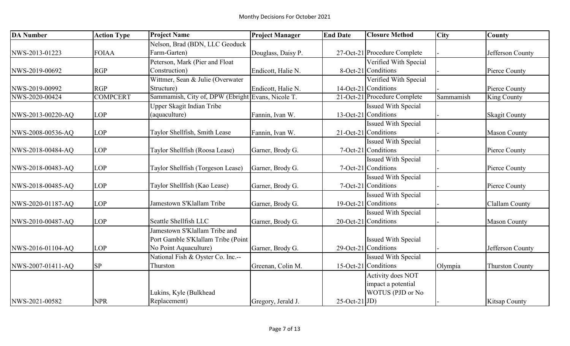| <b>DA</b> Number  | <b>Action Type</b> | <b>Project Name</b>                               | <b>Project Manager</b> | <b>End Date</b>      | <b>Closure Method</b>        | <b>City</b> | County                 |
|-------------------|--------------------|---------------------------------------------------|------------------------|----------------------|------------------------------|-------------|------------------------|
|                   |                    | Nelson, Brad (BDN, LLC Geoduck                    |                        |                      |                              |             |                        |
| NWS-2013-01223    | <b>FOIAA</b>       | Farm-Garten)                                      | Douglass, Daisy P.     |                      | 27-Oct-21 Procedure Complete |             | Jefferson County       |
|                   |                    | Peterson, Mark (Pier and Float                    |                        |                      | Verified With Special        |             |                        |
| NWS-2019-00692    | <b>RGP</b>         | Construction)                                     | Endicott, Halie N.     |                      | 8-Oct-21 Conditions          |             | Pierce County          |
|                   |                    | Wittmer, Sean & Julie (Overwater                  |                        |                      | Verified With Special        |             |                        |
| NWS-2019-00992    | <b>RGP</b>         | Structure)                                        | Endicott, Halie N.     |                      | $14-Oct-21$ Conditions       |             | Pierce County          |
| NWS-2020-00424    | <b>COMPCERT</b>    | Sammamish, City of, DPW (Ebright Evans, Nicole T. |                        |                      | 21-Oct-21 Procedure Complete | Sammamish   | King County            |
|                   |                    | Upper Skagit Indian Tribe                         |                        |                      | <b>Issued With Special</b>   |             |                        |
| NWS-2013-00220-AQ | <b>LOP</b>         | (aquaculture)                                     | Fannin, Ivan W.        |                      | 13-Oct-21 Conditions         |             | <b>Skagit County</b>   |
|                   |                    |                                                   |                        |                      | <b>Issued With Special</b>   |             |                        |
| NWS-2008-00536-AQ | <b>LOP</b>         | Taylor Shellfish, Smith Lease                     | Fannin, Ivan W.        |                      | 21-Oct-21 Conditions         |             | <b>Mason County</b>    |
|                   |                    |                                                   |                        |                      | <b>Issued With Special</b>   |             |                        |
| NWS-2018-00484-AQ | <b>LOP</b>         | Taylor Shellfish (Roosa Lease)                    | Garner, Brody G.       |                      | 7-Oct-21 Conditions          |             | Pierce County          |
|                   |                    |                                                   |                        |                      | <b>Issued With Special</b>   |             |                        |
| NWS-2018-00483-AQ | <b>LOP</b>         | Taylor Shellfish (Torgeson Lease)                 | Garner, Brody G.       |                      | 7-Oct-21 Conditions          |             | Pierce County          |
|                   |                    |                                                   |                        |                      | <b>Issued With Special</b>   |             |                        |
| NWS-2018-00485-AQ | <b>LOP</b>         | Taylor Shellfish (Kao Lease)                      | Garner, Brody G.       |                      | 7-Oct-21 Conditions          |             | Pierce County          |
|                   |                    |                                                   |                        |                      | <b>Issued With Special</b>   |             |                        |
| NWS-2020-01187-AQ | <b>LOP</b>         | Jamestown S'Klallam Tribe                         | Garner, Brody G.       |                      | $19$ -Oct-21 Conditions      |             | Clallam County         |
|                   |                    |                                                   |                        |                      | <b>Issued With Special</b>   |             |                        |
| NWS-2010-00487-AQ | <b>LOP</b>         | Seattle Shellfish LLC                             | Garner, Brody G.       |                      | 20-Oct-21 Conditions         |             | <b>Mason County</b>    |
|                   |                    | Jamestown S'Klallam Tribe and                     |                        |                      |                              |             |                        |
|                   |                    | Port Gamble S'Klallam Tribe (Point                |                        |                      | <b>Issued With Special</b>   |             |                        |
| NWS-2016-01104-AQ | <b>LOP</b>         | No Point Aquaculture)                             | Garner, Brody G.       |                      | 29-Oct-21 Conditions         |             | Jefferson County       |
|                   |                    | National Fish & Oyster Co. Inc.--                 |                        |                      | <b>Issued With Special</b>   |             |                        |
| NWS-2007-01411-AQ | <b>SP</b>          | Thurston                                          | Greenan, Colin M.      |                      | 15-Oct-21 Conditions         | Olympia     | <b>Thurston County</b> |
|                   |                    |                                                   |                        |                      | Activity does NOT            |             |                        |
|                   |                    |                                                   |                        |                      | impact a potential           |             |                        |
|                   |                    | Lukins, Kyle (Bulkhead                            |                        |                      | WOTUS (PJD or No             |             |                        |
| NWS-2021-00582    | <b>NPR</b>         | Replacement)                                      | Gregory, Jerald J.     | $25$ -Oct-21 $ JD$ ) |                              |             | Kitsap County          |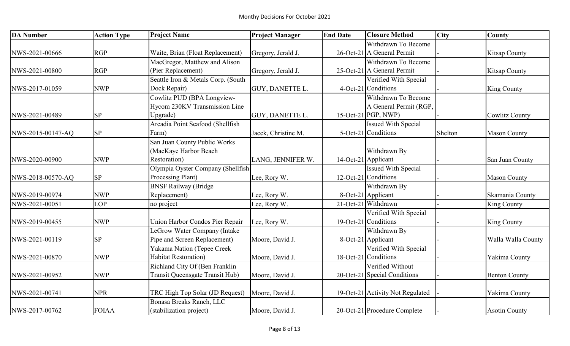| <b>DA Number</b>  | <b>Action Type</b> | <b>Project Name</b>                | <b>Project Manager</b> | <b>End Date</b> | <b>Closure Method</b>            | <b>City</b> | <b>County</b>         |
|-------------------|--------------------|------------------------------------|------------------------|-----------------|----------------------------------|-------------|-----------------------|
|                   |                    |                                    |                        |                 | Withdrawn To Become              |             |                       |
| NWS-2021-00666    | <b>RGP</b>         | Waite, Brian (Float Replacement)   | Gregory, Jerald J.     |                 | 26-Oct-21 A General Permit       |             | <b>Kitsap County</b>  |
|                   |                    | MacGregor, Matthew and Alison      |                        |                 | Withdrawn To Become              |             |                       |
| NWS-2021-00800    | <b>RGP</b>         | (Pier Replacement)                 | Gregory, Jerald J.     |                 | 25-Oct-21 A General Permit       |             | <b>Kitsap County</b>  |
|                   |                    | Seattle Iron & Metals Corp. (South |                        |                 | Verified With Special            |             |                       |
| NWS-2017-01059    | <b>NWP</b>         | Dock Repair)                       | GUY, DANETTE L.        |                 | 4-Oct-21 Conditions              |             | <b>King County</b>    |
|                   |                    | Cowlitz PUD (BPA Longview-         |                        |                 | Withdrawn To Become              |             |                       |
|                   |                    | Hycom 230KV Transmission Line      |                        |                 | A General Permit (RGP,           |             |                       |
| NWS-2021-00489    | <b>SP</b>          | Upgrade)                           | GUY, DANETTE L.        |                 | $15$ -Oct-21 PGP, NWP)           |             | <b>Cowlitz County</b> |
|                   |                    | Arcadia Point Seafood (Shellfish   |                        |                 | <b>Issued With Special</b>       |             |                       |
| NWS-2015-00147-AQ | SP                 | Farm)                              | Jacek, Christine M.    |                 | 5-Oct-21 Conditions              | Shelton     | <b>Mason County</b>   |
|                   |                    | San Juan County Public Works       |                        |                 |                                  |             |                       |
|                   |                    | (MacKaye Harbor Beach              |                        |                 | Withdrawn By                     |             |                       |
| NWS-2020-00900    | <b>NWP</b>         | Restoration)                       | LANG, JENNIFER W.      |                 | 14-Oct-21 Applicant              |             | San Juan County       |
|                   |                    | Olympia Oyster Company (Shellfish  |                        |                 | <b>Issued With Special</b>       |             |                       |
| NWS-2018-00570-AQ | <b>SP</b>          | Processing Plant)                  | Lee, Rory W.           |                 | 12-Oct-21 Conditions             |             | <b>Mason County</b>   |
|                   |                    | <b>BNSF Railway (Bridge</b>        |                        |                 | Withdrawn By                     |             |                       |
| NWS-2019-00974    | <b>NWP</b>         | Replacement)                       | Lee, Rory W.           |                 | 8-Oct-21 Applicant               |             | Skamania County       |
| NWS-2021-00051    | <b>LOP</b>         | no project                         | Lee, Rory W.           |                 | 21-Oct-21 Withdrawn              |             | King County           |
|                   |                    |                                    |                        |                 | Verified With Special            |             |                       |
| NWS-2019-00455    | <b>NWP</b>         | Union Harbor Condos Pier Repair    | Lee, Rory W.           |                 | 19-Oct-21 Conditions             |             | <b>King County</b>    |
|                   |                    | LeGrow Water Company (Intake       |                        |                 | Withdrawn By                     |             |                       |
| NWS-2021-00119    | <b>SP</b>          | Pipe and Screen Replacement)       | Moore, David J.        |                 | 8-Oct-21 Applicant               |             | Walla Walla County    |
|                   |                    | Yakama Nation (Tepee Creek         |                        |                 | Verified With Special            |             |                       |
| NWS-2021-00870    | <b>NWP</b>         | <b>Habitat Restoration</b> )       | Moore, David J.        |                 | 18-Oct-21 Conditions             |             | Yakima County         |
|                   |                    | Richland City Of (Ben Franklin     |                        |                 | Verified Without                 |             |                       |
| NWS-2021-00952    | <b>NWP</b>         | Transit Queensgate Transit Hub)    | Moore, David J.        |                 | 20-Oct-21 Special Conditions     |             | <b>Benton County</b>  |
|                   |                    |                                    |                        |                 |                                  |             |                       |
| NWS-2021-00741    | <b>NPR</b>         | TRC High Top Solar (JD Request)    | Moore, David J.        |                 | 19-Oct-21 Activity Not Regulated |             | Yakima County         |
|                   |                    | Bonasa Breaks Ranch, LLC           |                        |                 |                                  |             |                       |
| NWS-2017-00762    | <b>FOIAA</b>       | (stabilization project)            | Moore, David J.        |                 | 20-Oct-21 Procedure Complete     |             | <b>Asotin County</b>  |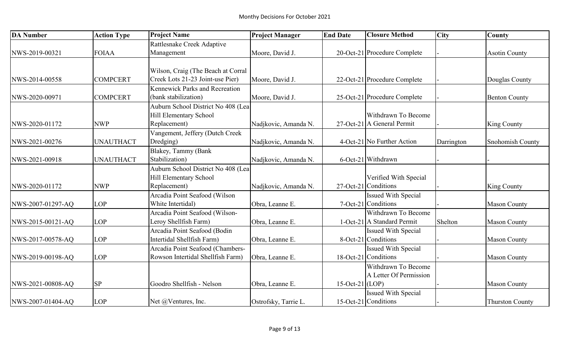| <b>DA Number</b>  | <b>Action Type</b> | <b>Project Name</b>                   | <b>Project Manager</b> | <b>End Date</b>   | <b>Closure Method</b>        | <b>City</b> | County                  |
|-------------------|--------------------|---------------------------------------|------------------------|-------------------|------------------------------|-------------|-------------------------|
|                   |                    | Rattlesnake Creek Adaptive            |                        |                   |                              |             |                         |
| NWS-2019-00321    | <b>FOIAA</b>       | Management                            | Moore, David J.        |                   | 20-Oct-21 Procedure Complete |             | <b>Asotin County</b>    |
|                   |                    |                                       |                        |                   |                              |             |                         |
|                   |                    | Wilson, Craig (The Beach at Corral    |                        |                   |                              |             |                         |
| NWS-2014-00558    | <b>COMPCERT</b>    | Creek Lots 21-23 Joint-use Pier)      | Moore, David J.        |                   | 22-Oct-21 Procedure Complete |             | Douglas County          |
|                   |                    | <b>Kennewick Parks and Recreation</b> |                        |                   |                              |             |                         |
| NWS-2020-00971    | <b>COMPCERT</b>    | (bank stabilization)                  | Moore, David J.        |                   | 25-Oct-21 Procedure Complete |             | <b>Benton County</b>    |
|                   |                    | Auburn School District No 408 (Lea    |                        |                   |                              |             |                         |
|                   |                    | Hill Elementary School                |                        |                   | Withdrawn To Become          |             |                         |
| NWS-2020-01172    | <b>NWP</b>         | Replacement)                          | Nadjkovic, Amanda N.   |                   | 27-Oct-21 A General Permit   |             | <b>King County</b>      |
|                   |                    | Vangement, Jeffery (Dutch Creek       |                        |                   |                              |             |                         |
| NWS-2021-00276    | <b>UNAUTHACT</b>   | Dredging)                             | Nadjkovic, Amanda N.   |                   | 4-Oct-21 No Further Action   | Darrington  | <b>Snohomish County</b> |
|                   |                    | Blakey, Tammy (Bank                   |                        |                   |                              |             |                         |
| NWS-2021-00918    | <b>UNAUTHACT</b>   | Stabilization)                        | Nadjkovic, Amanda N.   |                   | 6-Oct-21 Withdrawn           |             |                         |
|                   |                    | Auburn School District No 408 (Lea    |                        |                   |                              |             |                         |
|                   |                    | Hill Elementary School                |                        |                   | Verified With Special        |             |                         |
| NWS-2020-01172    | <b>NWP</b>         | Replacement)                          | Nadjkovic, Amanda N.   |                   | 27-Oct-21 Conditions         |             | <b>King County</b>      |
|                   |                    | Arcadia Point Seafood (Wilson         |                        |                   | <b>Issued With Special</b>   |             |                         |
| NWS-2007-01297-AQ | <b>LOP</b>         | White Intertidal)                     | Obra, Leanne E.        |                   | 7-Oct-21 Conditions          |             | <b>Mason County</b>     |
|                   |                    | Arcadia Point Seafood (Wilson-        |                        |                   | Withdrawn To Become          |             |                         |
| NWS-2015-00121-AQ | <b>LOP</b>         | Leroy Shellfish Farm)                 | Obra, Leanne E.        |                   | 1-Oct-21 A Standard Permit   | Shelton     | <b>Mason County</b>     |
|                   |                    | Arcadia Point Seafood (Bodin          |                        |                   | <b>Issued With Special</b>   |             |                         |
| NWS-2017-00578-AQ | <b>LOP</b>         | Intertidal Shellfish Farm)            | Obra, Leanne E.        |                   | 8-Oct-21 Conditions          |             | <b>Mason County</b>     |
|                   |                    | Arcadia Point Seafood (Chambers-      |                        |                   | <b>Issued With Special</b>   |             |                         |
| NWS-2019-00198-AQ | <b>LOP</b>         | Rowson Intertidal Shellfish Farm)     | Obra, Leanne E.        |                   | 18-Oct-21 Conditions         |             | <b>Mason County</b>     |
|                   |                    |                                       |                        |                   | Withdrawn To Become          |             |                         |
|                   |                    |                                       |                        |                   | A Letter Of Permission       |             |                         |
| NWS-2021-00808-AQ | <b>SP</b>          | Goodro Shellfish - Nelson             | Obra, Leanne E.        | $15-Oct-21$ (LOP) |                              |             | <b>Mason County</b>     |
|                   |                    |                                       |                        |                   | <b>Issued With Special</b>   |             |                         |
| NWS-2007-01404-AO | <b>LOP</b>         | Net @Ventures, Inc.                   | Ostrofsky, Tarrie L.   |                   | $15$ -Oct-21 Conditions      |             | <b>Thurston County</b>  |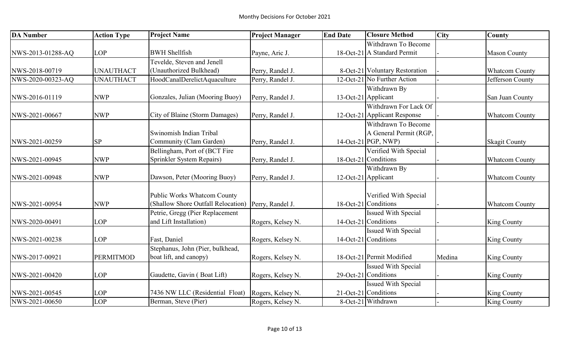| <b>DA Number</b>  | <b>Action Type</b> | <b>Project Name</b>                                  | <b>Project Manager</b> | <b>End Date</b>     | <b>Closure Method</b>          | <b>City</b> | County                |
|-------------------|--------------------|------------------------------------------------------|------------------------|---------------------|--------------------------------|-------------|-----------------------|
|                   |                    |                                                      |                        |                     | Withdrawn To Become            |             |                       |
| NWS-2013-01288-AQ | <b>LOP</b>         | <b>BWH Shellfish</b>                                 | Payne, Aric J.         |                     | 18-Oct-21 A Standard Permit    |             | <b>Mason County</b>   |
|                   |                    | Tevelde, Steven and Jenell                           |                        |                     |                                |             |                       |
| NWS-2018-00719    | <b>UNAUTHACT</b>   | (Unauthorized Bulkhead)                              | Perry, Randel J.       |                     | 8-Oct-21 Voluntary Restoration |             | <b>Whatcom County</b> |
| NWS-2020-00323-AQ | <b>UNAUTHACT</b>   | HoodCanalDerelictAquaculture                         | Perry, Randel J.       |                     | 12-Oct-21 No Further Action    |             | Jefferson County      |
|                   |                    |                                                      |                        |                     | Withdrawn By                   |             |                       |
| NWS-2016-01119    | <b>NWP</b>         | Gonzales, Julian (Mooring Buoy)                      | Perry, Randel J.       | 13-Oct-21 Applicant |                                |             | San Juan County       |
|                   |                    |                                                      |                        |                     | Withdrawn For Lack Of          |             |                       |
| NWS-2021-00667    | <b>NWP</b>         | City of Blaine (Storm Damages)                       | Perry, Randel J.       |                     | 12-Oct-21 Applicant Response   |             | <b>Whatcom County</b> |
|                   |                    |                                                      |                        |                     | Withdrawn To Become            |             |                       |
|                   |                    | Swinomish Indian Tribal                              |                        |                     | A General Permit (RGP,         |             |                       |
| NWS-2021-00259    | SP                 | Community (Clam Garden)                              | Perry, Randel J.       |                     | $14$ -Oct-21 PGP, NWP)         |             | <b>Skagit County</b>  |
|                   |                    | Bellingham, Port of (BCT Fire                        |                        |                     | Verified With Special          |             |                       |
| NWS-2021-00945    | <b>NWP</b>         | Sprinkler System Repairs)                            | Perry, Randel J.       |                     | 18-Oct-21 Conditions           |             | <b>Whatcom County</b> |
|                   |                    |                                                      |                        |                     | Withdrawn By                   |             |                       |
| NWS-2021-00948    | <b>NWP</b>         | Dawson, Peter (Mooring Buoy)                         | Perry, Randel J.       |                     | 12-Oct-21 Applicant            |             | <b>Whatcom County</b> |
|                   |                    |                                                      |                        |                     |                                |             |                       |
|                   |                    | Public Works Whatcom County                          |                        |                     | Verified With Special          |             |                       |
| NWS-2021-00954    | <b>NWP</b>         | (Shallow Shore Outfall Relocation)  Perry, Randel J. |                        |                     | 18-Oct-21 Conditions           |             | <b>Whatcom County</b> |
|                   |                    | Petrie, Gregg (Pier Replacement                      |                        |                     | <b>Issued With Special</b>     |             |                       |
| NWS-2020-00491    | <b>LOP</b>         | and Lift Installation)                               | Rogers, Kelsey N.      |                     | 14-Oct-21 Conditions           |             | <b>King County</b>    |
|                   |                    |                                                      |                        |                     | <b>Issued With Special</b>     |             |                       |
| NWS-2021-00238    | <b>LOP</b>         | Fast, Daniel                                         | Rogers, Kelsey N.      |                     | 14-Oct-21 Conditions           |             | <b>King County</b>    |
|                   |                    | Stephanus, John (Pier, bulkhead,                     |                        |                     |                                |             |                       |
| NWS-2017-00921    | <b>PERMITMOD</b>   | boat lift, and canopy)                               | Rogers, Kelsey N.      |                     | 18-Oct-21 Permit Modified      | Medina      | <b>King County</b>    |
|                   |                    |                                                      |                        |                     | <b>Issued With Special</b>     |             |                       |
| NWS-2021-00420    | <b>LOP</b>         | Gaudette, Gavin (Boat Lift)                          | Rogers, Kelsey N.      |                     | 29-Oct-21 Conditions           |             | <b>King County</b>    |
|                   |                    |                                                      |                        |                     | <b>Issued With Special</b>     |             |                       |
| NWS-2021-00545    | <b>LOP</b>         | 7436 NW LLC (Residential Float)                      | Rogers, Kelsey N.      |                     | 21-Oct-21 Conditions           |             | <b>King County</b>    |
| NWS-2021-00650    | LOP                | Berman, Steve (Pier)                                 | Rogers, Kelsey N.      |                     | 8-Oct-21 Withdrawn             |             | King County           |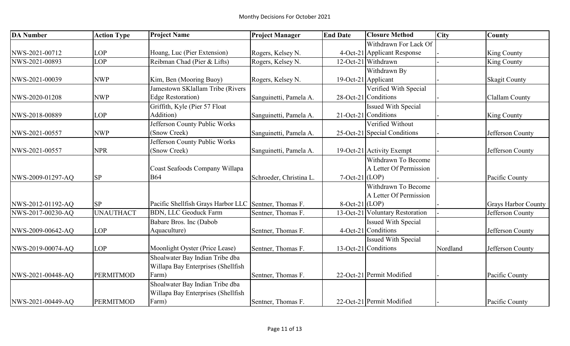| <b>DA Number</b>  | <b>Action Type</b> | <b>Project Name</b>                                   | <b>Project Manager</b>  | <b>End Date</b>  | <b>Closure Method</b>           | <b>City</b> | <b>County</b>              |
|-------------------|--------------------|-------------------------------------------------------|-------------------------|------------------|---------------------------------|-------------|----------------------------|
|                   |                    |                                                       |                         |                  | Withdrawn For Lack Of           |             |                            |
| NWS-2021-00712    | <b>LOP</b>         | Hoang, Luc (Pier Extension)                           | Rogers, Kelsey N.       |                  | 4-Oct-21 Applicant Response     |             | <b>King County</b>         |
| NWS-2021-00893    | <b>LOP</b>         | Reibman Chad (Pier & Lifts)                           | Rogers, Kelsey N.       |                  | 12-Oct-21 Withdrawn             |             | <b>King County</b>         |
|                   |                    |                                                       |                         |                  | Withdrawn By                    |             |                            |
| NWS-2021-00039    | <b>NWP</b>         | Kim, Ben (Mooring Buoy)                               | Rogers, Kelsey N.       |                  | 19-Oct-21 Applicant             |             | <b>Skagit County</b>       |
|                   |                    | Jamestown SKlallam Tribe (Rivers                      |                         |                  | Verified With Special           |             |                            |
| NWS-2020-01208    | <b>NWP</b>         | <b>Edge Restoration</b> )                             | Sanguinetti, Pamela A.  |                  | 28-Oct-21 Conditions            |             | Clallam County             |
|                   |                    | Griffith, Kyle (Pier 57 Float                         |                         |                  | <b>Issued With Special</b>      |             |                            |
| NWS-2018-00889    | <b>LOP</b>         | Addition)                                             | Sanguinetti, Pamela A.  |                  | 21-Oct-21 Conditions            |             | <b>King County</b>         |
|                   |                    | Jefferson County Public Works                         |                         |                  | Verified Without                |             |                            |
| NWS-2021-00557    | <b>NWP</b>         | (Snow Creek)                                          | Sanguinetti, Pamela A.  |                  | 25-Oct-21 Special Conditions    |             | Jefferson County           |
|                   |                    | Jefferson County Public Works                         |                         |                  |                                 |             |                            |
| NWS-2021-00557    | <b>NPR</b>         | (Snow Creek)                                          | Sanguinetti, Pamela A.  |                  | 19-Oct-21 Activity Exempt       |             | Jefferson County           |
|                   |                    |                                                       |                         |                  | Withdrawn To Become             |             |                            |
|                   |                    | Coast Seafoods Company Willapa                        |                         |                  | A Letter Of Permission          |             |                            |
| NWS-2009-01297-AQ | <b>SP</b>          | <b>B64</b>                                            | Schroeder, Christina L. | $7-Oct-21$ (LOP) |                                 |             | Pacific County             |
|                   |                    |                                                       |                         |                  | Withdrawn To Become             |             |                            |
|                   |                    |                                                       |                         |                  | A Letter Of Permission          |             |                            |
| NWS-2012-01192-AQ | <b>SP</b>          | Pacific Shellfish Grays Harbor LLC Sentner, Thomas F. |                         | $8-Oct-21$ (LOP) |                                 |             | <b>Grays Harbor County</b> |
| NWS-2017-00230-AQ | <b>UNAUTHACT</b>   | <b>BDN, LLC Geoduck Farm</b>                          | Sentner, Thomas F.      |                  | 13-Oct-21 Voluntary Restoration |             | Jefferson County           |
|                   |                    | Babare Bros. Inc (Dabob                               |                         |                  | <b>Issued With Special</b>      |             |                            |
| NWS-2009-00642-AQ | <b>LOP</b>         | Aquaculture)                                          | Sentner, Thomas F.      |                  | 4-Oct-21 Conditions             |             | Jefferson County           |
|                   |                    |                                                       |                         |                  | <b>Issued With Special</b>      |             |                            |
| NWS-2019-00074-AQ | <b>LOP</b>         | Moonlight Oyster (Price Lease)                        | Sentner, Thomas F.      |                  | 13-Oct-21 Conditions            | Nordland    | Jefferson County           |
|                   |                    | Shoalwater Bay Indian Tribe dba                       |                         |                  |                                 |             |                            |
|                   |                    | Willapa Bay Enterprises (Shellfish                    |                         |                  |                                 |             |                            |
| NWS-2021-00448-AQ | <b>PERMITMOD</b>   | Farm)                                                 | Sentner, Thomas F.      |                  | 22-Oct-21 Permit Modified       |             | Pacific County             |
|                   |                    | Shoalwater Bay Indian Tribe dba                       |                         |                  |                                 |             |                            |
|                   |                    | Willapa Bay Enterprises (Shellfish                    |                         |                  |                                 |             |                            |
| NWS-2021-00449-AQ | <b>PERMITMOD</b>   | Farm)                                                 | Sentner, Thomas F.      |                  | 22-Oct-21 Permit Modified       |             | Pacific County             |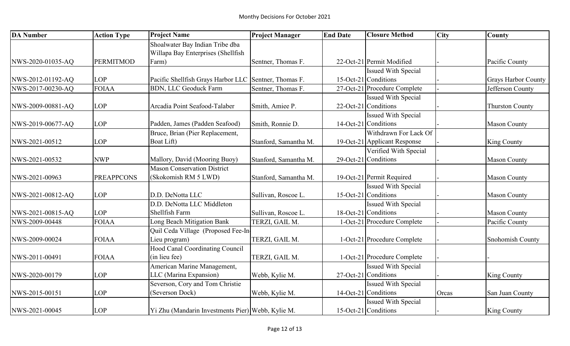| <b>DA Number</b>  | <b>Action Type</b> | <b>Project Name</b>                                   | <b>Project Manager</b> | <b>End Date</b> | <b>Closure Method</b>        | <b>City</b> | County                     |
|-------------------|--------------------|-------------------------------------------------------|------------------------|-----------------|------------------------------|-------------|----------------------------|
|                   |                    | Shoalwater Bay Indian Tribe dba                       |                        |                 |                              |             |                            |
|                   |                    | Willapa Bay Enterprises (Shellfish                    |                        |                 |                              |             |                            |
| NWS-2020-01035-AQ | <b>PERMITMOD</b>   | Farm)                                                 | Sentner, Thomas F.     |                 | 22-Oct-21 Permit Modified    |             | Pacific County             |
|                   |                    |                                                       |                        |                 | <b>Issued With Special</b>   |             |                            |
| NWS-2012-01192-AQ | <b>LOP</b>         | Pacific Shellfish Grays Harbor LLC Sentner, Thomas F. |                        |                 | 15-Oct-21 Conditions         |             | <b>Grays Harbor County</b> |
| NWS-2017-00230-AQ | <b>FOIAA</b>       | <b>BDN, LLC Geoduck Farm</b>                          | Sentner, Thomas F.     |                 | 27-Oct-21 Procedure Complete |             | Jefferson County           |
|                   |                    |                                                       |                        |                 | <b>Issued With Special</b>   |             |                            |
| NWS-2009-00881-AQ | <b>LOP</b>         | Arcadia Point Seafood-Talaber                         | Smith, Amiee P.        |                 | 22-Oct-21 Conditions         |             | <b>Thurston County</b>     |
|                   |                    |                                                       |                        |                 | Issued With Special          |             |                            |
| NWS-2019-00677-AQ | <b>LOP</b>         | Padden, James (Padden Seafood)                        | Smith, Ronnie D.       |                 | 14-Oct-21 Conditions         |             | <b>Mason County</b>        |
|                   |                    | Bruce, Brian (Pier Replacement,                       |                        |                 | Withdrawn For Lack Of        |             |                            |
| NWS-2021-00512    | <b>LOP</b>         | Boat Lift)                                            | Stanford, Samantha M.  |                 | 19-Oct-21 Applicant Response |             | <b>King County</b>         |
|                   |                    |                                                       |                        |                 | Verified With Special        |             |                            |
| NWS-2021-00532    | <b>NWP</b>         | Mallory, David (Mooring Buoy)                         | Stanford, Samantha M.  |                 | 29-Oct-21 Conditions         |             | <b>Mason County</b>        |
|                   |                    | <b>Mason Conservation District</b>                    |                        |                 |                              |             |                            |
| NWS-2021-00963    | <b>PREAPPCONS</b>  | (Skokomish RM 5 LWD)                                  | Stanford, Samantha M.  |                 | 19-Oct-21 Permit Required    |             | <b>Mason County</b>        |
|                   |                    |                                                       |                        |                 | <b>Issued With Special</b>   |             |                            |
| NWS-2021-00812-AQ | <b>LOP</b>         | D.D. DeNotta LLC                                      | Sullivan, Roscoe L.    |                 | 15-Oct-21 Conditions         |             | <b>Mason County</b>        |
|                   |                    | D.D. DeNotta LLC Middleton                            |                        |                 | Issued With Special          |             |                            |
| NWS-2021-00815-AQ | <b>LOP</b>         | Shellfish Farm                                        | Sullivan, Roscoe L.    |                 | 18-Oct-21 Conditions         |             | <b>Mason County</b>        |
| NWS-2009-00448    | <b>FOIAA</b>       | Long Beach Mitigation Bank                            | TERZI, GAIL M.         |                 | 1-Oct-21 Procedure Complete  |             | Pacific County             |
|                   |                    | Quil Ceda Village (Proposed Fee-In-                   |                        |                 |                              |             |                            |
| NWS-2009-00024    | <b>FOIAA</b>       | Lieu program)                                         | TERZI, GAIL M.         |                 | 1-Oct-21 Procedure Complete  |             | <b>Snohomish County</b>    |
|                   |                    | Hood Canal Coordinating Council                       |                        |                 |                              |             |                            |
| NWS-2011-00491    | <b>FOIAA</b>       | (in lieu fee)                                         | TERZI, GAIL M.         |                 | 1-Oct-21 Procedure Complete  |             |                            |
|                   |                    | American Marine Management,                           |                        |                 | <b>Issued With Special</b>   |             |                            |
| NWS-2020-00179    | <b>LOP</b>         | LLC (Marina Expansion)                                | Webb, Kylie M.         |                 | $27$ -Oct-21 Conditions      |             | <b>King County</b>         |
|                   |                    | Severson, Cory and Tom Christie                       |                        |                 | <b>Issued With Special</b>   |             |                            |
| NWS-2015-00151    | <b>LOP</b>         | (Severson Dock)                                       | Webb, Kylie M.         |                 | 14-Oct-21 Conditions         | Orcas       | San Juan County            |
|                   |                    |                                                       |                        |                 | <b>Issued With Special</b>   |             |                            |
| NWS-2021-00045    | <b>LOP</b>         | Yi Zhu (Mandarin Investments Pier) Webb, Kylie M.     |                        |                 | 15-Oct-21 Conditions         |             | <b>King County</b>         |